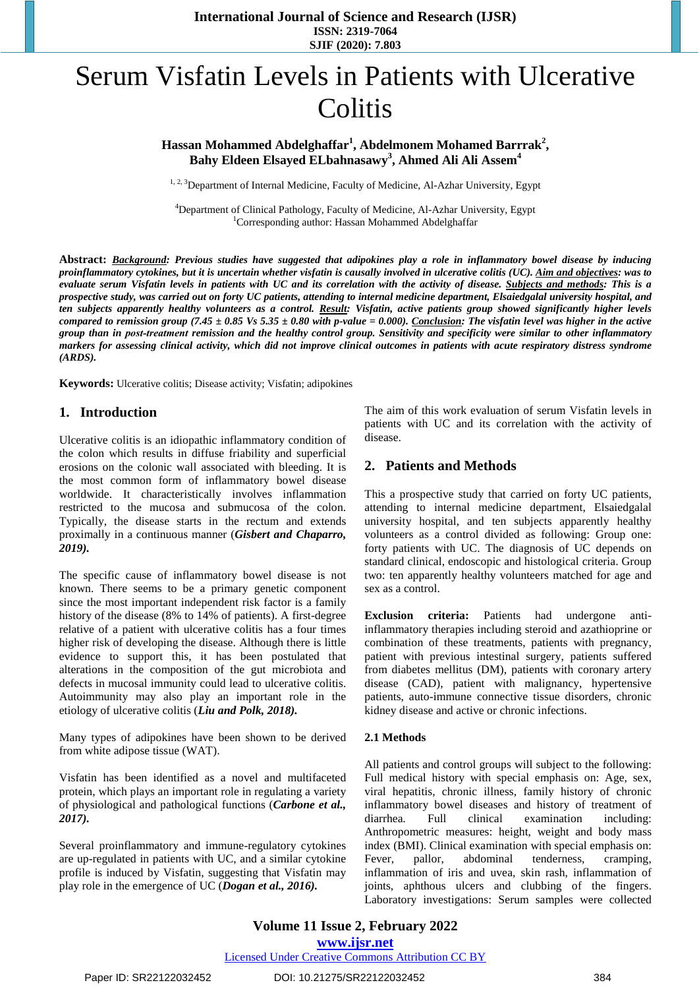**International Journal of Science and Research (IJSR) ISSN: 2319-7064 SJIF (2020): 7.803**

# Serum Visfatin Levels in Patients with Ulcerative **Colitis**

## **Hassan Mohammed Abdelghaffar<sup>1</sup> , Abdelmonem Mohamed Barrrak<sup>2</sup> , Bahy Eldeen Elsayed ELbahnasawy<sup>3</sup> , Ahmed Ali Ali Assem<sup>4</sup>**

<sup>1, 2, 3</sup>Department of Internal Medicine, Faculty of Medicine, Al-Azhar University, Egypt

<sup>4</sup>Department of Clinical Pathology, Faculty of Medicine, Al-Azhar University, Egypt <sup>1</sup>Corresponding author: Hassan Mohammed Abdelghaffar

Abstract: Background: Previous studies have suggested that adipokines play a role in inflammatory bowel disease by inducing proinflammatory cytokines, but it is uncertain whether visfatin is causally involved in ulcerative colitis (UC). Aim and objectives: was to evaluate serum Visfatin levels in patients with UC and its correlation with the activity of disease. Subjects and methods: This is a prospective study, was carried out on forty UC patients, attending to internal medicine department, Elsaiedgalal university hospital, and ten subjects apparently healthy volunteers as a control. Result: Visfatin, active patients group showed significantly higher levels compared to remission group (7.45  $\pm$  0.85 Vs 5.35  $\pm$  0.80 with p-value = 0.000). Conclusion: The visfatin level was higher in the active group than in post-treatment remission and the healthy control group. Sensitivity and specificity were similar to other inflammatory markers for assessing clinical activity, which did not improve clinical outcomes in patients with acute respiratory distress syndrome *(ARDS).*

**Keywords:** Ulcerative colitis; Disease activity; Visfatin; adipokines

#### **1. Introduction**

Ulcerative colitis is an idiopathic inflammatory condition of the colon which results in diffuse friability and superficial erosions on the colonic wall associated with bleeding. It is the most common form of inflammatory bowel disease worldwide. It characteristically involves inflammation restricted to the mucosa and submucosa of the colon. Typically, the disease starts in the rectum and extends proximally in a continuous manner (*Gisbert and Chaparro, 2019).* 

The specific cause of inflammatory bowel disease is not known. There seems to be a primary genetic component since the most important independent risk factor is a family history of the disease (8% to 14% of patients). A first-degree relative of a patient with ulcerative colitis has a four times higher risk of developing the disease. Although there is little evidence to support this, it has been postulated that alterations in the composition of the gut microbiota and defects in mucosal immunity could lead to ulcerative colitis. Autoimmunity may also play an important role in the etiology of ulcerative colitis (*Liu and Polk, 2018).* 

Many types of adipokines have been shown to be derived from white adipose tissue (WAT).

Visfatin has been identified as a novel and multifaceted protein, which plays an important role in regulating a variety of physiological and pathological functions (*Carbone et al., 2017).* 

Several proinflammatory and immune-regulatory cytokines are up-regulated in patients with UC, and a similar cytokine profile is induced by Visfatin, suggesting that Visfatin may play role in the emergence of UC (*Dogan et al., 2016).*

The aim of this work evaluation of serum Visfatin levels in patients with UC and its correlation with the activity of disease.

## **2. Patients and Methods**

This a prospective study that carried on forty UC patients, attending to internal medicine department, Elsaiedgalal university hospital, and ten subjects apparently healthy volunteers as a control divided as following: Group one: forty patients with UC. The diagnosis of UC depends on standard clinical, endoscopic and histological criteria. Group two: ten apparently healthy volunteers matched for age and sex as a control.

**Exclusion criteria:** Patients had undergone antiinflammatory therapies including steroid and azathioprine or combination of these treatments, patients with pregnancy, patient with previous intestinal surgery, patients suffered from diabetes mellitus (DM), patients with coronary artery disease (CAD), patient with malignancy, hypertensive patients, auto-immune connective tissue disorders, chronic kidney disease and active or chronic infections.

#### **2.1 Methods**

All patients and control groups will subject to the following: Full medical history with special emphasis on: Age, sex, viral hepatitis, chronic illness, family history of chronic inflammatory bowel diseases and history of treatment of diarrhea*.* Full clinical examination including: Anthropometric measures: height, weight and body mass index (BMI). Clinical examination with special emphasis on: Fever, pallor, abdominal tenderness, cramping, inflammation of iris and uvea, skin rash, inflammation of joints, aphthous ulcers and clubbing of the fingers. Laboratory investigations: Serum samples were collected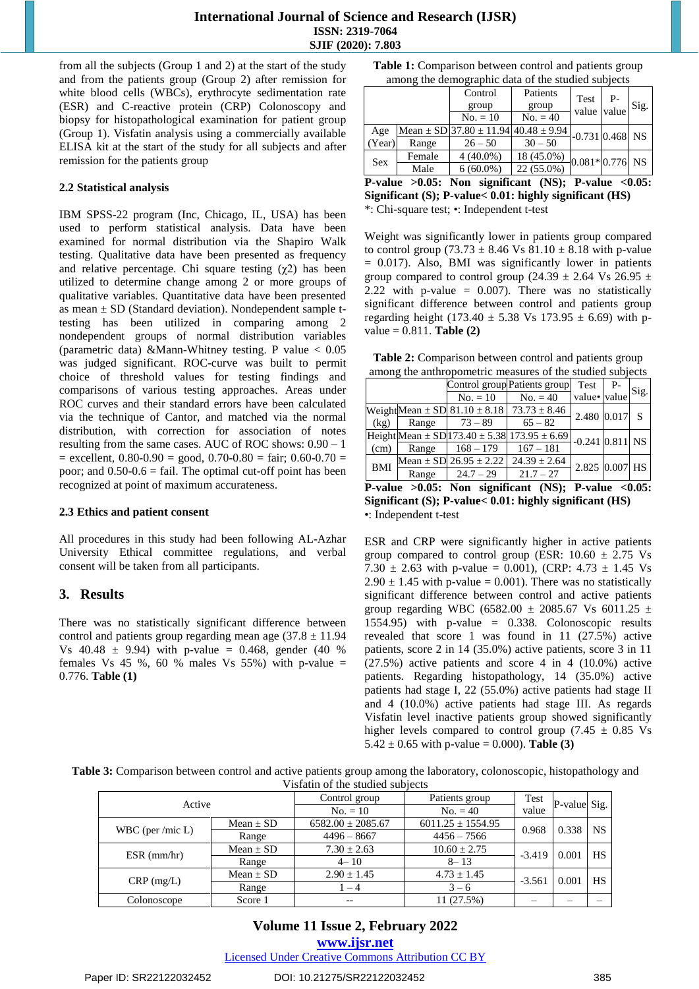from all the subjects (Group 1 and 2) at the start of the study and from the patients group (Group 2) after remission for white blood cells (WBCs), erythrocyte sedimentation rate (ESR) and C-reactive protein (CRP) Colonoscopy and biopsy for histopathological examination for patient group (Group 1). Visfatin analysis using a commercially available ELISA kit at the start of the study for all subjects and after remission for the patients group

#### **2.2 Statistical analysis**

IBM SPSS-22 program (Inc, Chicago, IL, USA) has been used to perform statistical analysis. Data have been examined for normal distribution via the Shapiro Walk testing. Qualitative data have been presented as frequency and relative percentage. Chi square testing  $(\chi^2)$  has been utilized to determine change among 2 or more groups of qualitative variables. Quantitative data have been presented as mean  $\pm$  SD (Standard deviation). Nondependent sample ttesting has been utilized in comparing among 2 nondependent groups of normal distribution variables (parametric data) &Mann-Whitney testing. P value < 0.05 was judged significant. ROC-curve was built to permit choice of threshold values for testing findings and comparisons of various testing approaches. Areas under ROC curves and their standard errors have been calculated via the technique of Cantor, and matched via the normal distribution, with correction for association of notes resulting from the same cases. AUC of ROC shows: 0.90 – 1  $=$  excellent, 0.80-0.90  $=$  good, 0.70-0.80  $=$  fair; 0.60-0.70  $=$ poor; and  $0.50-0.6$  = fail. The optimal cut-off point has been recognized at point of maximum accurateness.

#### **2.3 Ethics and patient consent**

All procedures in this study had been following AL-Azhar University Ethical committee regulations, and verbal consent will be taken from all participants.

## **3. Results**

There was no statistically significant difference between control and patients group regarding mean age  $(37.8 \pm 11.94)$ Vs  $40.48 \pm 9.94$ ) with p-value = 0.468, gender (40 %) females Vs 45 %, 60 % males Vs 55%) with p-value  $=$ 0.776. **Table (1)** 

**Table 1:** Comparison between control and patients group among the demographic data of the studied subjects

|            |        | Control                                          | Patients   | Test              | $P-$  |      |
|------------|--------|--------------------------------------------------|------------|-------------------|-------|------|
|            |        | group                                            | group      | value             | value | Sig. |
|            |        | $No. = 10$                                       | $No. = 40$ |                   |       |      |
| Age        |        | Mean $\pm$ SD 37.80 $\pm$ 11.94 40.48 $\pm$ 9.94 |            | $-0.731$ 0.468 NS |       |      |
| (Year)     | Range  | $26 - 50$                                        | $30 - 50$  |                   |       |      |
| <b>Sex</b> | Female | $4(40.0\%)$                                      | 18 (45.0%) | $-0.081*0.776$ NS |       |      |
|            | Male   | $6(60.0\%)$                                      | 22 (55.0%) |                   |       |      |

**P-value >0.05: Non significant (NS); P-value <0.05: Significant (S); P-value< 0.01: highly significant (HS)**  \*: Chi-square test; •: Independent t-test

Weight was significantly lower in patients group compared to control group (73.73  $\pm$  8.46 Vs 81.10  $\pm$  8.18 with p-value  $= 0.017$ ). Also, BMI was significantly lower in patients group compared to control group (24.39  $\pm$  2.64 Vs 26.95  $\pm$ 2.22 with p-value  $= 0.007$ ). There was no statistically significant difference between control and patients group regarding height (173.40  $\pm$  5.38 Vs 173.95  $\pm$  6.69) with pvalue = 0.811. **Table (2)** 

**Table 2:** Comparison between control and patients group among the anthropometric measures of the studied subjects

|            |       |                                | Control group Patients group                             | Test P-           | Sig. |
|------------|-------|--------------------------------|----------------------------------------------------------|-------------------|------|
|            |       | $No. = 10$                     | $No. = 40$                                               | value• value      |      |
|            |       |                                | WeightMean $\pm$ SD 81.10 $\pm$ 8.18 73.73 $\pm$ 8.46    | $2.480$ 0.017 S   |      |
| (kg)       | Range | $73 - 89$                      | $65 - 82$                                                |                   |      |
|            |       |                                | Height Mean $\pm$ SD 173.40 $\pm$ 5.38 173.95 $\pm$ 6.69 | $-0.241$ 0.811 NS |      |
| (cm)       | Range | $168 - 179$                    | $167 - 181$                                              |                   |      |
| <b>BMI</b> |       | Mean $\pm$ SD 26.95 $\pm$ 2.22 | $24.39 \pm 2.64$                                         | 2.825 0.007 HS    |      |
|            | Range | $24.7 - 29$                    | $21.7 - 27$                                              |                   |      |

**P-value >0.05: Non significant (NS); P-value <0.05: Significant (S); P-value< 0.01: highly significant (HS)**  •: Independent t-test

ESR and CRP were significantly higher in active patients group compared to control group (ESR:  $10.60 \pm 2.75$  Vs 7.30  $\pm$  2.63 with p-value = 0.001), (CRP: 4.73  $\pm$  1.45 Vs  $2.90 \pm 1.45$  with p-value = 0.001). There was no statistically significant difference between control and active patients group regarding WBC (6582.00  $\pm$  2085.67 Vs 6011.25  $\pm$ 1554.95) with p-value = 0.338. Colonoscopic results revealed that score 1 was found in 11 (27.5%) active patients, score 2 in 14 (35.0%) active patients, score 3 in 11  $(27.5\%)$  active patients and score 4 in 4 (10.0%) active patients. Regarding histopathology, 14 (35.0%) active patients had stage I, 22 (55.0%) active patients had stage II and 4 (10.0%) active patients had stage III. As regards Visfatin level inactive patients group showed significantly higher levels compared to control group (7.45  $\pm$  0.85 Vs 5.42  $\pm$  0.65 with p-value = 0.000). **Table** (3)

**Table 3:** Comparison between control and active patients group among the laboratory, colonoscopic, histopathology and Visfatin of the studied subjects

| Active              |               | Control group         | Patients group        | Test              | P-value Sig. |           |
|---------------------|---------------|-----------------------|-----------------------|-------------------|--------------|-----------|
|                     |               | $No. = 10$            | $No. = 40$            | value             |              |           |
|                     | Mean $\pm$ SD | $6582.00 \pm 2085.67$ | $6011.25 \pm 1554.95$ | 0.968             | 0.338        | <b>NS</b> |
| WBC (per /mic $L$ ) | Range         | $4496 - 8667$         | $4456 - 7566$         |                   |              |           |
|                     | Mean $\pm$ SD | $7.30 \pm 2.63$       | $10.60 \pm 2.75$      | 0.001<br>$-3.419$ | HS           |           |
| $ESR$ (mm/hr)       | Range         | $4 - 10$              | $8 - 13$              |                   |              |           |
| $CRP$ (mg/L)        | Mean $\pm$ SD | $2.90 \pm 1.45$       | $4.73 \pm 1.45$       |                   | 0.001        | HS        |
|                     | Range         | $-4$                  | $3 - 6$               | $-3.561$          |              |           |
| Colonoscope         | Score 1       | $- -$                 | 11 (27.5%)            |                   |              |           |

#### **Volume 11 Issue 2, February 2022 www.ijsr.net**

Licensed Under Creative Commons Attribution CC BY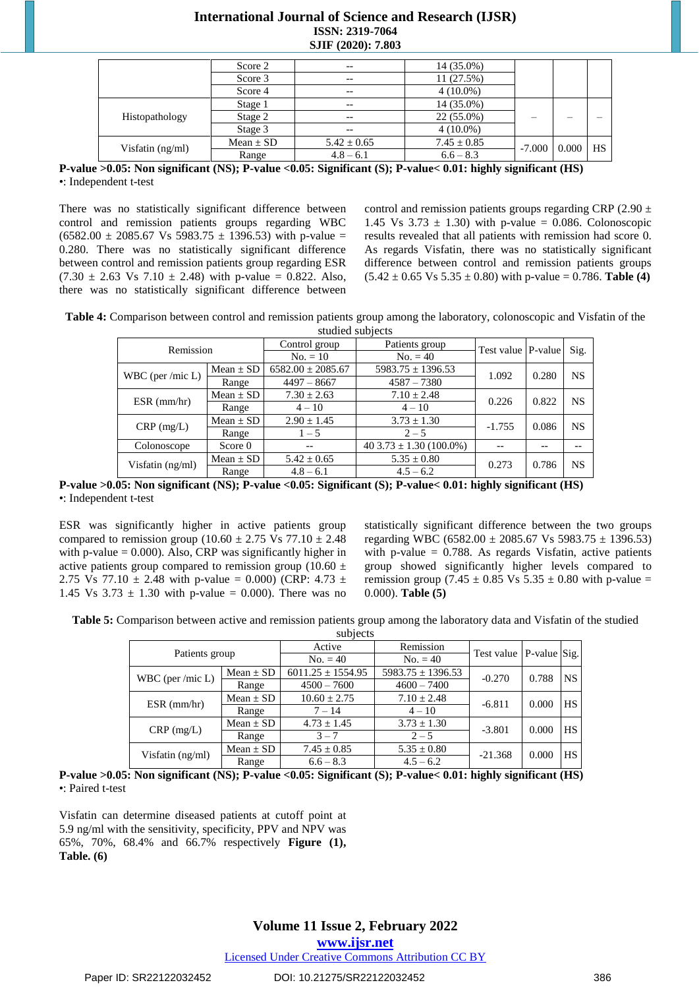## **International Journal of Science and Research (IJSR) ISSN: 2319-7064 SJIF (2020): 7.803**

|                  | Score 2       | $- -$           | 14 (35.0%)      |          |       |           |
|------------------|---------------|-----------------|-----------------|----------|-------|-----------|
|                  | Score 3       |                 | 11 (27.5%)      |          |       |           |
|                  | Score 4       | $- -$           | $4(10.0\%)$     |          |       |           |
|                  | Stage 1       |                 | 14 (35.0%)      |          |       |           |
| Histopathology   | Stage 2       | $- -$           | 22 (55.0%)      |          |       |           |
|                  | Stage 3       | $- -$           | $4(10.0\%)$     |          |       |           |
|                  | Mean $\pm$ SD | $5.42 \pm 0.65$ | $7.45 \pm 0.85$ | $-7.000$ | 0.000 | <b>HS</b> |
| Visfatin (ng/ml) | Range         | $4.8 - 6.1$     | $6.6 - 8.3$     |          |       |           |

**P-value >0.05: Non significant (NS); P-value <0.05: Significant (S); P-value< 0.01: highly significant (HS)**  •: Independent t-test

There was no statistically significant difference between control and remission patients groups regarding WBC  $(6582.00 \pm 2085.67 \text{ Vs } 5983.75 \pm 1396.53)$  with p-value = 0.280. There was no statistically significant difference between control and remission patients group regarding ESR  $(7.30 \pm 2.63 \text{ Vs } 7.10 \pm 2.48)$  with p-value = 0.822. Also, there was no statistically significant difference between control and remission patients groups regarding CRP (2.90  $\pm$ 1.45 Vs  $3.73 \pm 1.30$ ) with p-value = 0.086. Colonoscopic results revealed that all patients with remission had score 0. As regards Visfatin, there was no statistically significant difference between control and remission patients groups  $(5.42 \pm 0.65 \text{ Vs } 5.35 \pm 0.80)$  with p-value = 0.786. **Table** (4)

**Table 4:** Comparison between control and remission patients group among the laboratory, colonoscopic and Visfatin of the studied subjects

| studica subjects    |               |                          |                             |                    |       |           |  |  |  |
|---------------------|---------------|--------------------------|-----------------------------|--------------------|-------|-----------|--|--|--|
| Remission           |               | Control group            | Patients group              |                    |       | Sig.      |  |  |  |
|                     |               | $No. = 40$<br>$No. = 10$ |                             | Test value P-value |       |           |  |  |  |
|                     | Mean $\pm$ SD | $6582.00 \pm 2085.67$    | $5983.75 \pm 1396.53$       | 1.092              | 0.280 | <b>NS</b> |  |  |  |
| WBC (per /mic $L$ ) | Range         | $4497 - 8667$            | $4587 - 7380$               |                    |       |           |  |  |  |
|                     | Mean $\pm$ SD | $7.30 \pm 2.63$          | $7.10 \pm 2.48$             | 0.226              | 0.822 | <b>NS</b> |  |  |  |
| $ESR$ (mm/hr)       | Range         | $4 - 10$                 | $4 - 10$                    |                    |       |           |  |  |  |
| $CRP$ (mg/L)        | Mean $\pm$ SD | $2.90 \pm 1.45$          | $3.73 \pm 1.30$             | $-1.755$           | 0.086 | NS        |  |  |  |
|                     | Range         | $1 - 5$                  | $2 - 5$                     |                    |       |           |  |  |  |
| Colonoscope         | Score 0       | $- -$                    | $403.73 \pm 1.30 (100.0\%)$ |                    |       |           |  |  |  |
| Visfatin (ng/ml)    | Mean $\pm$ SD | $5.42 \pm 0.65$          | $5.35 \pm 0.80$             | 0.273              | 0.786 | NS        |  |  |  |
|                     | Range         | $4.8 - 6.1$              | $4.5 - 6.2$                 |                    |       |           |  |  |  |

**P-value >0.05: Non significant (NS); P-value <0.05: Significant (S); P-value< 0.01: highly significant (HS)**  •: Independent t-test

ESR was significantly higher in active patients group compared to remission group (10.60  $\pm$  2.75 Vs 77.10  $\pm$  2.48 with p-value  $= 0.000$ ). Also, CRP was significantly higher in active patients group compared to remission group (10.60  $\pm$ 2.75 Vs 77.10  $\pm$  2.48 with p-value = 0.000) (CRP: 4.73  $\pm$ 1.45 Vs  $3.73 \pm 1.30$  with p-value = 0.000). There was no statistically significant difference between the two groups regarding WBC (6582.00  $\pm$  2085.67 Vs 5983.75  $\pm$  1396.53) with p-value  $= 0.788$ . As regards Visfatin, active patients group showed significantly higher levels compared to remission group (7.45  $\pm$  0.85 Vs 5.35  $\pm$  0.80 with p-value = 0.000). **Table (5)** 

**Table 5:** Comparison between active and remission patients group among the laboratory data and Visfatin of the studied

|                     |               | subjects              |                       |                             |       |           |
|---------------------|---------------|-----------------------|-----------------------|-----------------------------|-------|-----------|
| Patients group      |               | Active                | Remission             | Test value   P-value   Sig. |       |           |
|                     |               | $No. = 40$            | $No. = 40$            |                             |       |           |
|                     | Mean $\pm$ SD | $6011.25 \pm 1554.95$ | $5983.75 \pm 1396.53$ | $-0.270$<br>0.788           |       | NS.       |
| WBC (per /mic $L$ ) | Range         | $4500 - 7600$         | $4600 - 7400$         |                             |       |           |
|                     | Mean $\pm$ SD | $10.60 \pm 2.75$      | $7.10 \pm 2.48$       | $-6.811$                    | 0.000 | <b>HS</b> |
| $ESR$ (mm/hr)       | Range         | $7 - 14$              | $4 - 10$              |                             |       |           |
|                     | Mean $\pm$ SD | $4.73 \pm 1.45$       | $3.73 \pm 1.30$       |                             |       | <b>HS</b> |
| $CRP$ (mg/L)        | Range         | $3 - 7$               | $2 - 5$               | $-3.801$                    | 0.000 |           |
| Visfatin $(ng/ml)$  | Mean $\pm$ SD | $7.45 \pm 0.85$       | $5.35 \pm 0.80$       | $-21.368$                   | 0.000 | HS.       |
|                     | Range         | $6.6 - 8.3$           | $4.5 - 6.2$           |                             |       |           |

**P-value >0.05: Non significant (NS); P-value <0.05: Significant (S); P-value< 0.01: highly significant (HS)**  •: Paired t-test

Visfatin can determine diseased patients at cutoff point at 5.9 ng/ml with the sensitivity, specificity, PPV and NPV was 65%, 70%, 68.4% and 66.7% respectively **Figure (1), Table. (6)**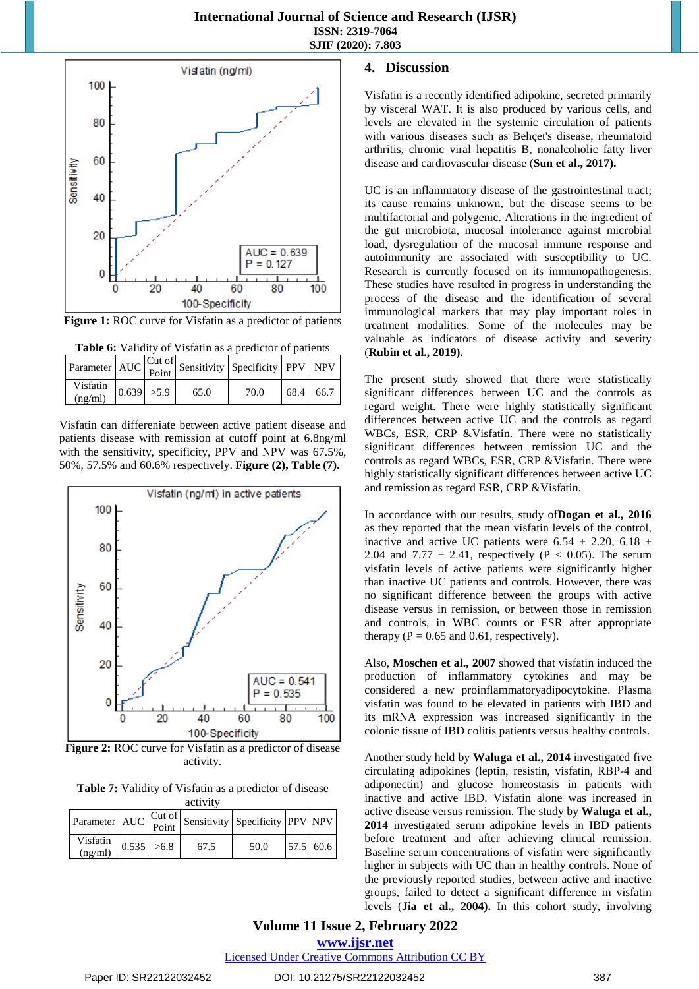

**Figure 1:** ROC curve for Visfatin as a predictor of patients



|                                                      |  |      | $\left \text{Parameter}\right $ AUC $\left \text{Cut of}\right $ Sensitivity Specificity PPV NPV |           |  |
|------------------------------------------------------|--|------|--------------------------------------------------------------------------------------------------|-----------|--|
| Visfatin $\begin{vmatrix} 0.639 & 5.9 \end{vmatrix}$ |  | 65.0 | 70.0                                                                                             | 68.4 66.7 |  |

Visfatin can differeniate between active patient disease and patients disease with remission at cutoff point at 6.8ng/ml with the sensitivity, specificity, PPV and NPV was 67.5%, 50%, 57.5% and 60.6% respectively. **Figure (2), Table (7).**



**Figure 2:** ROC curve for Visfatin as a predictor of disease activity.

**Table 7:** Validity of Visfatin as a predictor of disease activity

|                     |              |  |      | Parameter $\left \text{AUC}\right  \begin{matrix} \text{Cut of} \\ \text{Point} \end{matrix}$ Sensitivity Specificity $\left \text{PPV}\right $ NPV |  |           |  |
|---------------------|--------------|--|------|-----------------------------------------------------------------------------------------------------------------------------------------------------|--|-----------|--|
| Visfatin<br>(ng/ml) | $0.535$ >6.8 |  | 67.5 | 50.0                                                                                                                                                |  | 57.5 60.6 |  |

#### **4. Discussion**

Visfatin is a recently identified adipokine, secreted primarily by visceral WAT. It is also produced by various cells, and levels are elevated in the systemic circulation of patients with various diseases such as Behçet's disease, rheumatoid arthritis, chronic viral hepatitis B, nonalcoholic fatty liver disease and cardiovascular disease (**Sun et al., 2017).** 

UC is an inflammatory disease of the gastrointestinal tract; its cause remains unknown, but the disease seems to be multifactorial and polygenic. Alterations in the ingredient of the gut microbiota, mucosal intolerance against microbial load, dysregulation of the mucosal immune response and autoimmunity are associated with susceptibility to UC. Research is currently focused on its immunopathogenesis. These studies have resulted in progress in understanding the process of the disease and the identification of several immunological markers that may play important roles in treatment modalities. Some of the molecules may be valuable as indicators of disease activity and severity (**Rubin et al., 2019).**

The present study showed that there were statistically significant differences between UC and the controls as regard weight. There were highly statistically significant differences between active UC and the controls as regard WBCs, ESR, CRP &Visfatin. There were no statistically significant differences between remission UC and the controls as regard WBCs, ESR, CRP &Visfatin. There were highly statistically significant differences between active UC and remission as regard ESR, CRP &Visfatin.

In accordance with our results, study of**Dogan et al., 2016** as they reported that the mean visfatin levels of the control, inactive and active UC patients were 6.54  $\pm$  2.20, 6.18  $\pm$ 2.04 and 7.77  $\pm$  2.41, respectively (P < 0.05). The serum visfatin levels of active patients were significantly higher than inactive UC patients and controls. However, there was no significant difference between the groups with active disease versus in remission, or between those in remission and controls, in WBC counts or ESR after appropriate therapy ( $P = 0.65$  and 0.61, respectively).

Also, **Moschen et al., 2007** showed that visfatin induced the production of inflammatory cytokines and may be considered a new proinflammatoryadipocytokine. Plasma visfatin was found to be elevated in patients with IBD and its mRNA expression was increased significantly in the colonic tissue of IBD colitis patients versus healthy controls.

Another study held by **Waluga et al., 2014** investigated five circulating adipokines (leptin, resistin, visfatin, RBP‐4 and adiponectin) and glucose homeostasis in patients with inactive and active IBD. Visfatin alone was increased in active disease versus remission. The study by **Waluga et al., 2014** investigated serum adipokine levels in IBD patients before treatment and after achieving clinical remission. Baseline serum concentrations of visfatin were significantly higher in subjects with UC than in healthy controls. None of the previously reported studies, between active and inactive groups, failed to detect a significant difference in visfatin levels (**Jia et al., 2004).** In this cohort study, involving

## **Volume 11 Issue 2, February 2022 www.ijsr.net**

Licensed Under Creative Commons Attribution CC BY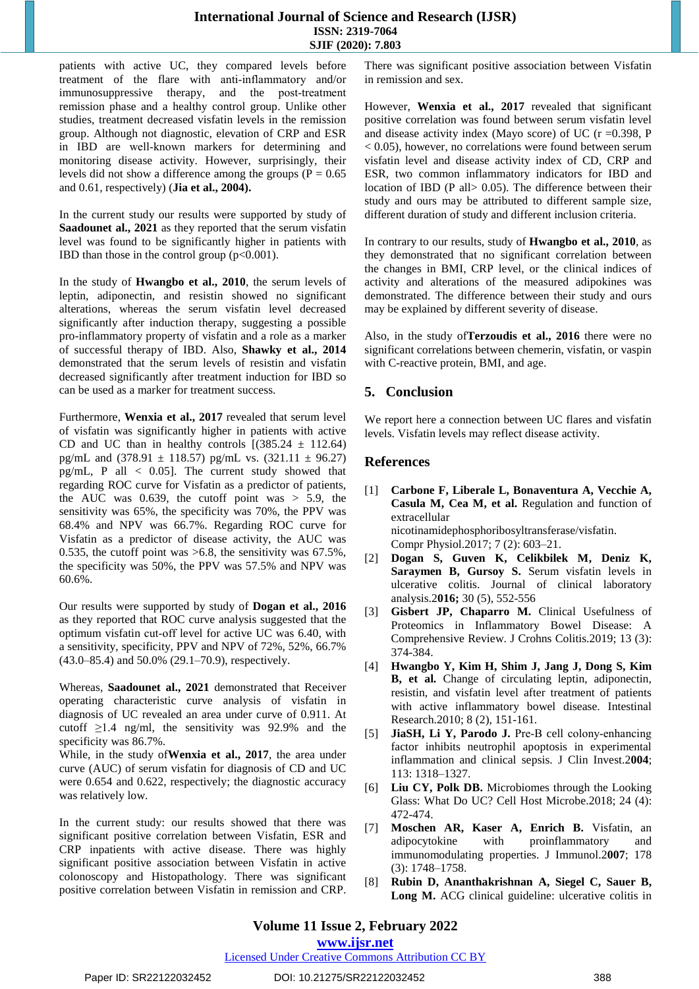#### **International Journal of Science and Research (IJSR) ISSN: 2319-7064 SJIF (2020): 7.803**

patients with active UC, they compared levels before treatment of the flare with anti‐inflammatory and/or immunosuppressive therapy, and the post-treatment remission phase and a healthy control group. Unlike other studies, treatment decreased visfatin levels in the remission group. Although not diagnostic, elevation of CRP and ESR in IBD are well‐known markers for determining and monitoring disease activity. However, surprisingly, their levels did not show a difference among the groups ( $P = 0.65$ ) and 0.61, respectively) (**Jia et al., 2004).**

In the current study our results were supported by study of **Saadounet al., 2021** as they reported that the serum visfatin level was found to be significantly higher in patients with IBD than those in the control group  $(p<0.001)$ .

In the study of **Hwangbo et al., 2010**, the serum levels of leptin, adiponectin, and resistin showed no significant alterations, whereas the serum visfatin level decreased significantly after induction therapy, suggesting a possible pro-inflammatory property of visfatin and a role as a marker of successful therapy of IBD. Also, **Shawky et al., 2014** demonstrated that the serum levels of resistin and visfatin decreased significantly after treatment induction for IBD so can be used as a marker for treatment success.

Furthermore, **Wenxia et al., 2017** revealed that serum level of visfatin was significantly higher in patients with active CD and UC than in healthy controls  $(385.24 \pm 112.64)$ pg/mL and  $(378.91 \pm 118.57)$  pg/mL vs.  $(321.11 \pm 96.27)$ pg/mL, P all  $\leq$  0.05]. The current study showed that regarding ROC curve for Visfatin as a predictor of patients, the AUC was  $0.639$ , the cutoff point was  $> 5.9$ , the sensitivity was 65%, the specificity was 70%, the PPV was 68.4% and NPV was 66.7%. Regarding ROC curve for Visfatin as a predictor of disease activity, the AUC was 0.535, the cutoff point was >6.8, the sensitivity was 67.5%, the specificity was 50%, the PPV was 57.5% and NPV was 60.6%.

Our results were supported by study of **Dogan et al., 2016** as they reported that ROC curve analysis suggested that the optimum visfatin cut‐off level for active UC was 6.40, with a sensitivity, specificity, PPV and NPV of 72%, 52%, 66.7% (43.0–85.4) and 50.0% (29.1–70.9), respectively.

Whereas, **Saadounet al., 2021** demonstrated that Receiver operating characteristic curve analysis of visfatin in diagnosis of UC revealed an area under curve of 0.911. At cutoff  $\geq$ 1.4 ng/ml, the sensitivity was 92.9% and the specificity was 86.7%.

While, in the study of**Wenxia et al., 2017**, the area under curve (AUC) of serum visfatin for diagnosis of CD and UC were 0.654 and 0.622, respectively; the diagnostic accuracy was relatively low.

In the current study: our results showed that there was significant positive correlation between Visfatin, ESR and CRP inpatients with active disease. There was highly significant positive association between Visfatin in active colonoscopy and Histopathology. There was significant positive correlation between Visfatin in remission and CRP.

There was significant positive association between Visfatin in remission and sex.

However, **Wenxia et al., 2017** revealed that significant positive correlation was found between serum visfatin level and disease activity index (Mayo score) of UC ( $r = 0.398$ , P  $< 0.05$ ), however, no correlations were found between serum visfatin level and disease activity index of CD, CRP and ESR, two common inflammatory indicators for IBD and location of IBD (P all> 0.05). The difference between their study and ours may be attributed to different sample size, different duration of study and different inclusion criteria.

In contrary to our results, study of **Hwangbo et al., 2010**, as they demonstrated that no significant correlation between the changes in BMI, CRP level, or the clinical indices of activity and alterations of the measured adipokines was demonstrated. The difference between their study and ours may be explained by different severity of disease.

Also, in the study of**Terzoudis et al., 2016** there were no significant correlations between chemerin, visfatin, or vaspin with C-reactive protein, BMI, and age.

## **5. Conclusion**

We report here a connection between UC flares and visfatin levels. Visfatin levels may reflect disease activity.

## **References**

- [1] **Carbone F, Liberale L, Bonaventura A, Vecchie A, Casula M, Cea M, et al.** Regulation and function of extracellular nicotinamidephosphoribosyltransferase/visfatin. Compr Physiol.2017; 7 (2): 603–21.
- [2] **Dogan S, Guven K, Celikbilek M, Deniz K, Saraymen B, Gursoy S.** Serum visfatin levels in ulcerative colitis. Journal of clinical laboratory analysis.2**016;** 30 (5), 552-556
- [3] **Gisbert JP, Chaparro M.** Clinical Usefulness of Proteomics in Inflammatory Bowel Disease: A Comprehensive Review. J Crohns Colitis.2019; 13 (3): 374-384.
- [4] **Hwangbo Y, Kim H, Shim J, Jang J, Dong S, Kim B, et al.** Change of circulating leptin, adiponectin, resistin, and visfatin level after treatment of patients with active inflammatory bowel disease. Intestinal Research.2010; 8 (2), 151-161.
- [5] **JiaSH, Li Y, Parodo J.** Pre‐B cell colony‐enhancing factor inhibits neutrophil apoptosis in experimental inflammation and clinical sepsis. J Clin Invest.2**004**; 113: 1318–1327.
- [6] **Liu CY, Polk DB.** Microbiomes through the Looking Glass: What Do UC? Cell Host Microbe.2018; 24 (4): 472-474.
- [7] **Moschen AR, Kaser A, Enrich B.** Visfatin, an adipocytokine with proinflammatory and immunomodulating properties. J Immunol.2**007**; 178 (3): 1748–1758.
- [8] **Rubin D, Ananthakrishnan A, Siegel C, Sauer B, Long M.** ACG clinical guideline: ulcerative colitis in

## **Volume 11 Issue 2, February 2022**

**www.ijsr.net**

Licensed Under Creative Commons Attribution CC BY